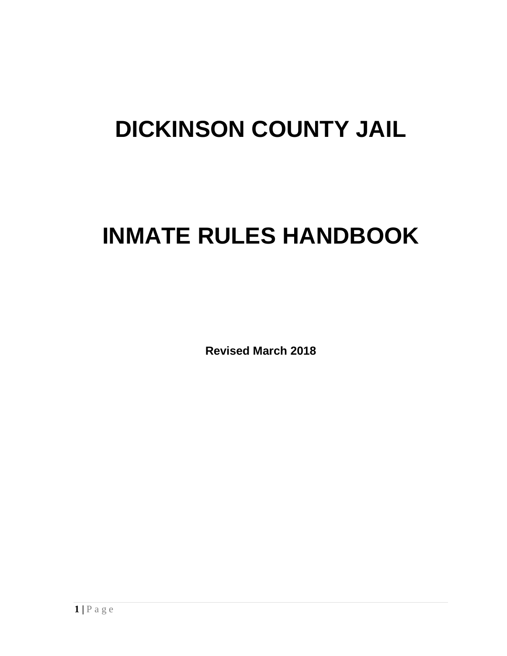# **DICKINSON COUNTY JAIL**

# **INMATE RULES HANDBOOK**

**Revised March 2018**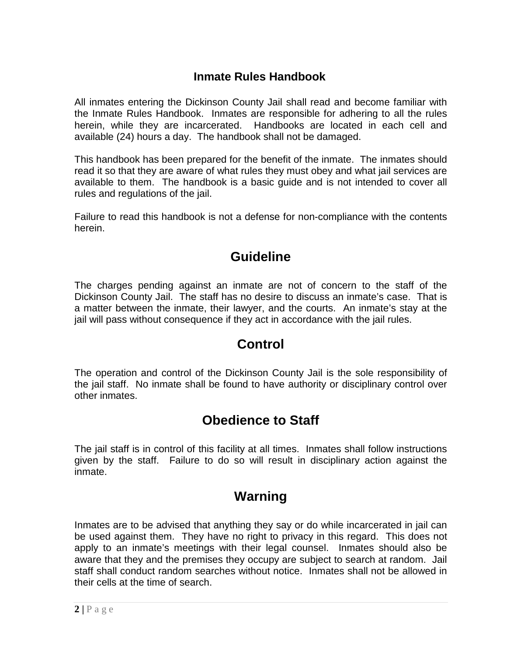#### **Inmate Rules Handbook**

All inmates entering the Dickinson County Jail shall read and become familiar with the Inmate Rules Handbook. Inmates are responsible for adhering to all the rules herein, while they are incarcerated. Handbooks are located in each cell and available (24) hours a day. The handbook shall not be damaged.

This handbook has been prepared for the benefit of the inmate. The inmates should read it so that they are aware of what rules they must obey and what jail services are available to them. The handbook is a basic guide and is not intended to cover all rules and regulations of the jail.

Failure to read this handbook is not a defense for non-compliance with the contents herein.

#### **Guideline**

The charges pending against an inmate are not of concern to the staff of the Dickinson County Jail. The staff has no desire to discuss an inmate's case. That is a matter between the inmate, their lawyer, and the courts. An inmate's stay at the jail will pass without consequence if they act in accordance with the jail rules.

#### **Control**

The operation and control of the Dickinson County Jail is the sole responsibility of the jail staff. No inmate shall be found to have authority or disciplinary control over other inmates.

# **Obedience to Staff**

The jail staff is in control of this facility at all times. Inmates shall follow instructions given by the staff. Failure to do so will result in disciplinary action against the inmate.

#### **Warning**

Inmates are to be advised that anything they say or do while incarcerated in jail can be used against them. They have no right to privacy in this regard. This does not apply to an inmate's meetings with their legal counsel. Inmates should also be aware that they and the premises they occupy are subject to search at random. Jail staff shall conduct random searches without notice. Inmates shall not be allowed in their cells at the time of search.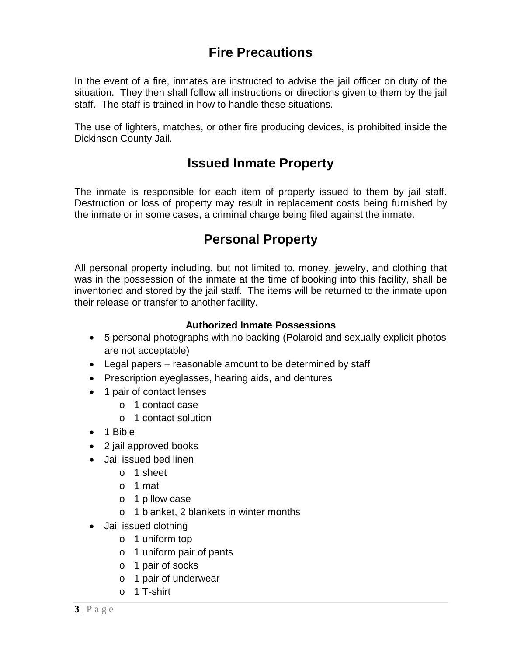# **Fire Precautions**

In the event of a fire, inmates are instructed to advise the jail officer on duty of the situation. They then shall follow all instructions or directions given to them by the jail staff. The staff is trained in how to handle these situations.

The use of lighters, matches, or other fire producing devices, is prohibited inside the Dickinson County Jail.

#### **Issued Inmate Property**

The inmate is responsible for each item of property issued to them by jail staff. Destruction or loss of property may result in replacement costs being furnished by the inmate or in some cases, a criminal charge being filed against the inmate.

## **Personal Property**

All personal property including, but not limited to, money, jewelry, and clothing that was in the possession of the inmate at the time of booking into this facility, shall be inventoried and stored by the jail staff. The items will be returned to the inmate upon their release or transfer to another facility.

#### **Authorized Inmate Possessions**

- 5 personal photographs with no backing (Polaroid and sexually explicit photos are not acceptable)
- Legal papers reasonable amount to be determined by staff
- Prescription eyeglasses, hearing aids, and dentures
- 1 pair of contact lenses
	- o 1 contact case
	- o 1 contact solution
- 1 Bible
- 2 jail approved books
- Jail issued bed linen
	- o 1 sheet
	- o 1 mat
	- o 1 pillow case
	- o 1 blanket, 2 blankets in winter months
- Jail issued clothing
	- o 1 uniform top
	- o 1 uniform pair of pants
	- o 1 pair of socks
	- o 1 pair of underwear
	- o 1 T-shirt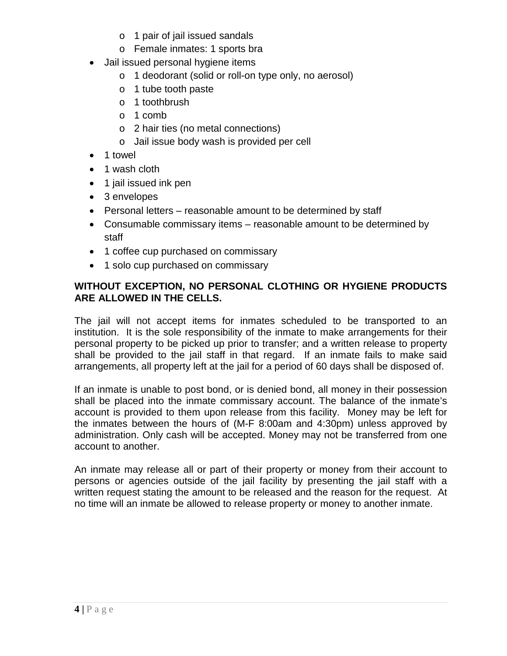- o 1 pair of jail issued sandals
- o Female inmates: 1 sports bra
- Jail issued personal hygiene items
	- o 1 deodorant (solid or roll-on type only, no aerosol)
	- o 1 tube tooth paste
	- o 1 toothbrush
	- o 1 comb
	- o 2 hair ties (no metal connections)
	- o Jail issue body wash is provided per cell
- 1 towel
- 1 wash cloth
- 1 jail issued ink pen
- 3 envelopes
- Personal letters reasonable amount to be determined by staff
- Consumable commissary items reasonable amount to be determined by staff
- 1 coffee cup purchased on commissary
- 1 solo cup purchased on commissary

#### **WITHOUT EXCEPTION, NO PERSONAL CLOTHING OR HYGIENE PRODUCTS ARE ALLOWED IN THE CELLS.**

The jail will not accept items for inmates scheduled to be transported to an institution. It is the sole responsibility of the inmate to make arrangements for their personal property to be picked up prior to transfer; and a written release to property shall be provided to the jail staff in that regard. If an inmate fails to make said arrangements, all property left at the jail for a period of 60 days shall be disposed of.

If an inmate is unable to post bond, or is denied bond, all money in their possession shall be placed into the inmate commissary account. The balance of the inmate's account is provided to them upon release from this facility. Money may be left for the inmates between the hours of (M-F 8:00am and 4:30pm) unless approved by administration. Only cash will be accepted. Money may not be transferred from one account to another.

An inmate may release all or part of their property or money from their account to persons or agencies outside of the jail facility by presenting the jail staff with a written request stating the amount to be released and the reason for the request. At no time will an inmate be allowed to release property or money to another inmate.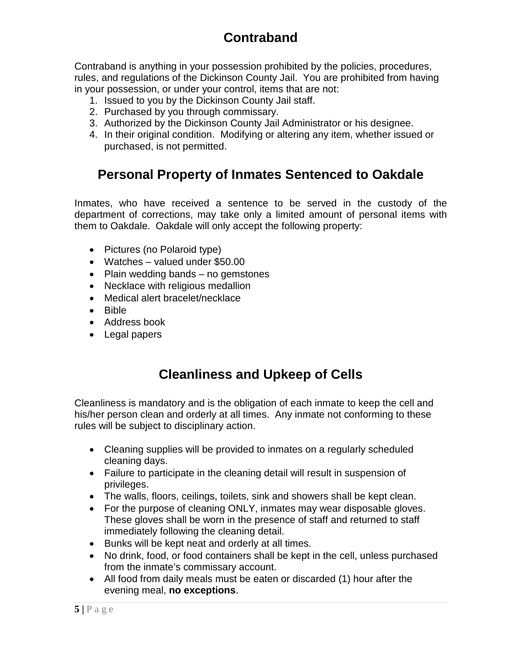# **Contraband**

Contraband is anything in your possession prohibited by the policies, procedures, rules, and regulations of the Dickinson County Jail. You are prohibited from having in your possession, or under your control, items that are not:

- 1. Issued to you by the Dickinson County Jail staff.
- 2. Purchased by you through commissary.
- 3. Authorized by the Dickinson County Jail Administrator or his designee.
- 4. In their original condition. Modifying or altering any item, whether issued or purchased, is not permitted.

# **Personal Property of Inmates Sentenced to Oakdale**

Inmates, who have received a sentence to be served in the custody of the department of corrections, may take only a limited amount of personal items with them to Oakdale. Oakdale will only accept the following property:

- Pictures (no Polaroid type)
- Watches valued under \$50.00
- Plain wedding bands no gemstones
- Necklace with religious medallion
- Medical alert bracelet/necklace
- Bible
- Address book
- Legal papers

# **Cleanliness and Upkeep of Cells**

Cleanliness is mandatory and is the obligation of each inmate to keep the cell and his/her person clean and orderly at all times. Any inmate not conforming to these rules will be subject to disciplinary action.

- Cleaning supplies will be provided to inmates on a regularly scheduled cleaning days.
- Failure to participate in the cleaning detail will result in suspension of privileges.
- The walls, floors, ceilings, toilets, sink and showers shall be kept clean.
- For the purpose of cleaning ONLY, inmates may wear disposable gloves. These gloves shall be worn in the presence of staff and returned to staff immediately following the cleaning detail.
- Bunks will be kept neat and orderly at all times.
- No drink, food, or food containers shall be kept in the cell, unless purchased from the inmate's commissary account.
- All food from daily meals must be eaten or discarded (1) hour after the evening meal, **no exceptions**.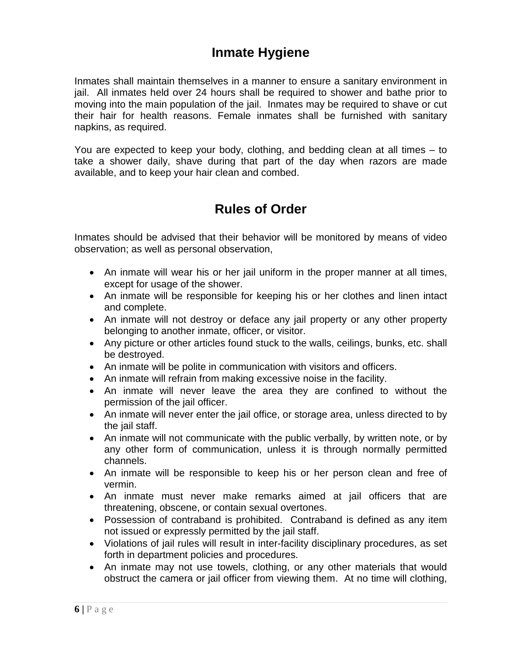## **Inmate Hygiene**

Inmates shall maintain themselves in a manner to ensure a sanitary environment in jail. All inmates held over 24 hours shall be required to shower and bathe prior to moving into the main population of the jail. Inmates may be required to shave or cut their hair for health reasons. Female inmates shall be furnished with sanitary napkins, as required.

You are expected to keep your body, clothing, and bedding clean at all times – to take a shower daily, shave during that part of the day when razors are made available, and to keep your hair clean and combed.

## **Rules of Order**

Inmates should be advised that their behavior will be monitored by means of video observation; as well as personal observation,

- An inmate will wear his or her jail uniform in the proper manner at all times, except for usage of the shower.
- An inmate will be responsible for keeping his or her clothes and linen intact and complete.
- An inmate will not destroy or deface any jail property or any other property belonging to another inmate, officer, or visitor.
- Any picture or other articles found stuck to the walls, ceilings, bunks, etc. shall be destroyed.
- An inmate will be polite in communication with visitors and officers.
- An inmate will refrain from making excessive noise in the facility.
- An inmate will never leave the area they are confined to without the permission of the jail officer.
- An inmate will never enter the jail office, or storage area, unless directed to by the jail staff.
- An inmate will not communicate with the public verbally, by written note, or by any other form of communication, unless it is through normally permitted channels.
- An inmate will be responsible to keep his or her person clean and free of vermin.
- An inmate must never make remarks aimed at jail officers that are threatening, obscene, or contain sexual overtones.
- Possession of contraband is prohibited. Contraband is defined as any item not issued or expressly permitted by the jail staff.
- Violations of jail rules will result in inter-facility disciplinary procedures, as set forth in department policies and procedures.
- An inmate may not use towels, clothing, or any other materials that would obstruct the camera or jail officer from viewing them. At no time will clothing,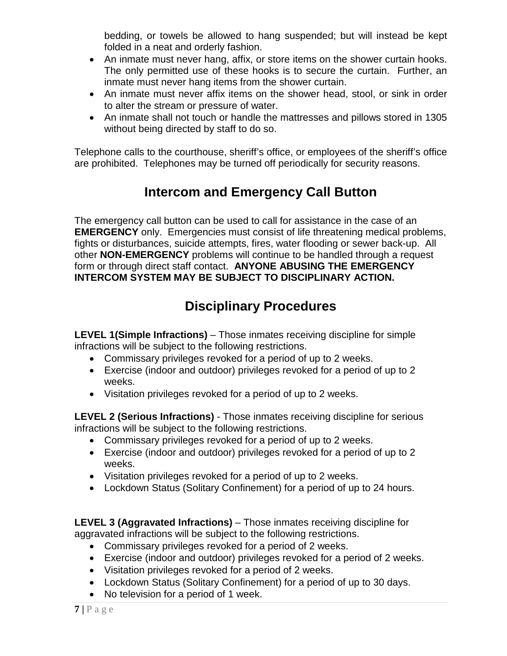bedding, or towels be allowed to hang suspended; but will instead be kept folded in a neat and orderly fashion.

- An inmate must never hang, affix, or store items on the shower curtain hooks. The only permitted use of these hooks is to secure the curtain. Further, an inmate must never hang items from the shower curtain.
- An inmate must never affix items on the shower head, stool, or sink in order to alter the stream or pressure of water.
- An inmate shall not touch or handle the mattresses and pillows stored in 1305 without being directed by staff to do so.

Telephone calls to the courthouse, sheriff's office, or employees of the sheriff's office are prohibited. Telephones may be turned off periodically for security reasons.

# **Intercom and Emergency Call Button**

The emergency call button can be used to call for assistance in the case of an **EMERGENCY** only. Emergencies must consist of life threatening medical problems, fights or disturbances, suicide attempts, fires, water flooding or sewer back-up. All other **NON-EMERGENCY** problems will continue to be handled through a request form or through direct staff contact. **ANYONE ABUSING THE EMERGENCY INTERCOM SYSTEM MAY BE SUBJECT TO DISCIPLINARY ACTION.**

# **Disciplinary Procedures**

**LEVEL 1(Simple Infractions)** – Those inmates receiving discipline for simple infractions will be subject to the following restrictions.

- Commissary privileges revoked for a period of up to 2 weeks.
- Exercise (indoor and outdoor) privileges revoked for a period of up to 2 weeks.
- Visitation privileges revoked for a period of up to 2 weeks.

**LEVEL 2 (Serious Infractions)** - Those inmates receiving discipline for serious infractions will be subject to the following restrictions.

- Commissary privileges revoked for a period of up to 2 weeks.
- Exercise (indoor and outdoor) privileges revoked for a period of up to 2 weeks.
- Visitation privileges revoked for a period of up to 2 weeks.
- Lockdown Status (Solitary Confinement) for a period of up to 24 hours.

**LEVEL 3 (Aggravated Infractions)** – Those inmates receiving discipline for aggravated infractions will be subject to the following restrictions.

- Commissary privileges revoked for a period of 2 weeks.
- Exercise (indoor and outdoor) privileges revoked for a period of 2 weeks.
- Visitation privileges revoked for a period of 2 weeks.
- Lockdown Status (Solitary Confinement) for a period of up to 30 days.
- No television for a period of 1 week.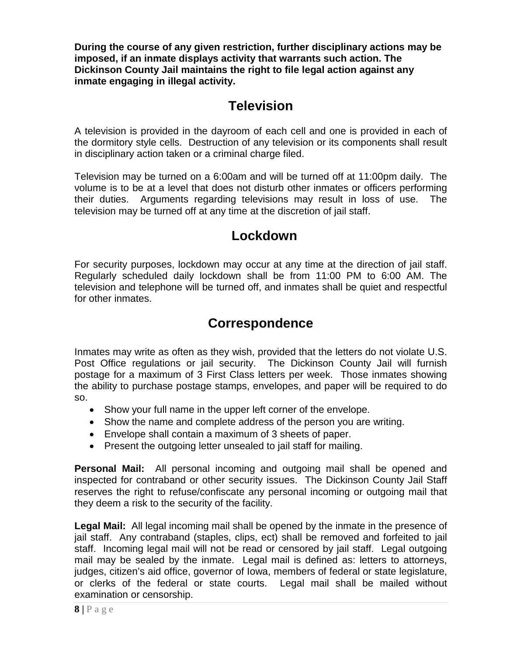**During the course of any given restriction, further disciplinary actions may be imposed, if an inmate displays activity that warrants such action. The Dickinson County Jail maintains the right to file legal action against any inmate engaging in illegal activity.**

#### **Television**

A television is provided in the dayroom of each cell and one is provided in each of the dormitory style cells. Destruction of any television or its components shall result in disciplinary action taken or a criminal charge filed.

Television may be turned on a 6:00am and will be turned off at 11:00pm daily. The volume is to be at a level that does not disturb other inmates or officers performing their duties. Arguments regarding televisions may result in loss of use. The television may be turned off at any time at the discretion of jail staff.

#### **Lockdown**

For security purposes, lockdown may occur at any time at the direction of jail staff. Regularly scheduled daily lockdown shall be from 11:00 PM to 6:00 AM. The television and telephone will be turned off, and inmates shall be quiet and respectful for other inmates.

#### **Correspondence**

Inmates may write as often as they wish, provided that the letters do not violate U.S. Post Office regulations or jail security. The Dickinson County Jail will furnish postage for a maximum of 3 First Class letters per week. Those inmates showing the ability to purchase postage stamps, envelopes, and paper will be required to do so.

- Show your full name in the upper left corner of the envelope.
- Show the name and complete address of the person you are writing.
- Envelope shall contain a maximum of 3 sheets of paper.
- Present the outgoing letter unsealed to jail staff for mailing.

**Personal Mail:** All personal incoming and outgoing mail shall be opened and inspected for contraband or other security issues. The Dickinson County Jail Staff reserves the right to refuse/confiscate any personal incoming or outgoing mail that they deem a risk to the security of the facility.

**Legal Mail:** All legal incoming mail shall be opened by the inmate in the presence of jail staff. Any contraband (staples, clips, ect) shall be removed and forfeited to jail staff. Incoming legal mail will not be read or censored by jail staff. Legal outgoing mail may be sealed by the inmate. Legal mail is defined as: letters to attorneys, judges, citizen's aid office, governor of Iowa, members of federal or state legislature, or clerks of the federal or state courts. Legal mail shall be mailed without examination or censorship.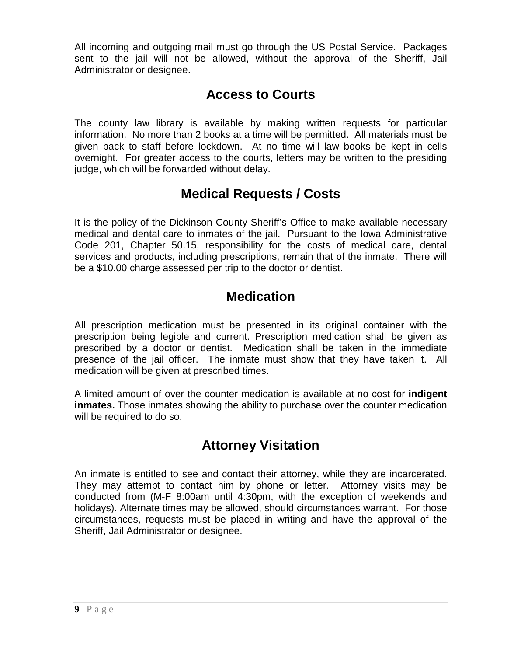All incoming and outgoing mail must go through the US Postal Service. Packages sent to the jail will not be allowed, without the approval of the Sheriff, Jail Administrator or designee.

## **Access to Courts**

The county law library is available by making written requests for particular information. No more than 2 books at a time will be permitted. All materials must be given back to staff before lockdown. At no time will law books be kept in cells overnight. For greater access to the courts, letters may be written to the presiding judge, which will be forwarded without delay.

#### **Medical Requests / Costs**

It is the policy of the Dickinson County Sheriff's Office to make available necessary medical and dental care to inmates of the jail. Pursuant to the Iowa Administrative Code 201, Chapter 50.15, responsibility for the costs of medical care, dental services and products, including prescriptions, remain that of the inmate. There will be a \$10.00 charge assessed per trip to the doctor or dentist.

# **Medication**

All prescription medication must be presented in its original container with the prescription being legible and current. Prescription medication shall be given as prescribed by a doctor or dentist. Medication shall be taken in the immediate presence of the jail officer. The inmate must show that they have taken it. All medication will be given at prescribed times.

A limited amount of over the counter medication is available at no cost for **indigent inmates.** Those inmates showing the ability to purchase over the counter medication will be required to do so.

# **Attorney Visitation**

An inmate is entitled to see and contact their attorney, while they are incarcerated. They may attempt to contact him by phone or letter. Attorney visits may be conducted from (M-F 8:00am until 4:30pm, with the exception of weekends and holidays). Alternate times may be allowed, should circumstances warrant. For those circumstances, requests must be placed in writing and have the approval of the Sheriff, Jail Administrator or designee.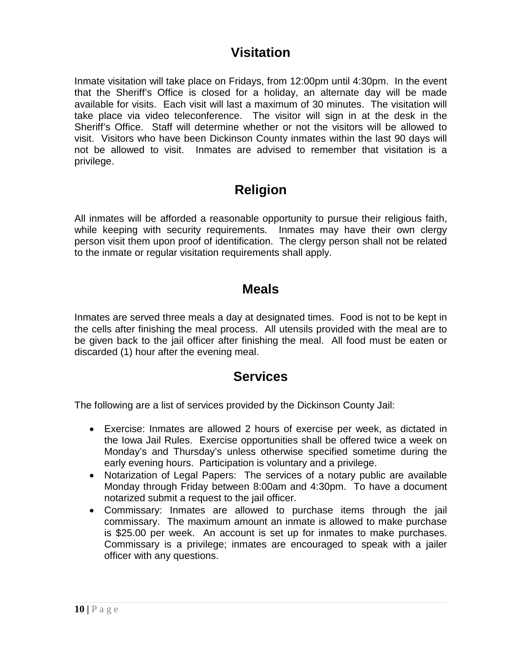#### **Visitation**

Inmate visitation will take place on Fridays, from 12:00pm until 4:30pm. In the event that the Sheriff's Office is closed for a holiday, an alternate day will be made available for visits. Each visit will last a maximum of 30 minutes. The visitation will take place via video teleconference. The visitor will sign in at the desk in the Sheriff's Office. Staff will determine whether or not the visitors will be allowed to visit. Visitors who have been Dickinson County inmates within the last 90 days will not be allowed to visit. Inmates are advised to remember that visitation is a privilege.

#### **Religion**

All inmates will be afforded a reasonable opportunity to pursue their religious faith, while keeping with security requirements. Inmates may have their own clergy person visit them upon proof of identification. The clergy person shall not be related to the inmate or regular visitation requirements shall apply.

#### **Meals**

Inmates are served three meals a day at designated times. Food is not to be kept in the cells after finishing the meal process. All utensils provided with the meal are to be given back to the jail officer after finishing the meal. All food must be eaten or discarded (1) hour after the evening meal.

#### **Services**

The following are a list of services provided by the Dickinson County Jail:

- Exercise: Inmates are allowed 2 hours of exercise per week, as dictated in the Iowa Jail Rules. Exercise opportunities shall be offered twice a week on Monday's and Thursday's unless otherwise specified sometime during the early evening hours. Participation is voluntary and a privilege.
- Notarization of Legal Papers: The services of a notary public are available Monday through Friday between 8:00am and 4:30pm. To have a document notarized submit a request to the jail officer.
- Commissary: Inmates are allowed to purchase items through the jail commissary. The maximum amount an inmate is allowed to make purchase is \$25.00 per week. An account is set up for inmates to make purchases. Commissary is a privilege; inmates are encouraged to speak with a jailer officer with any questions.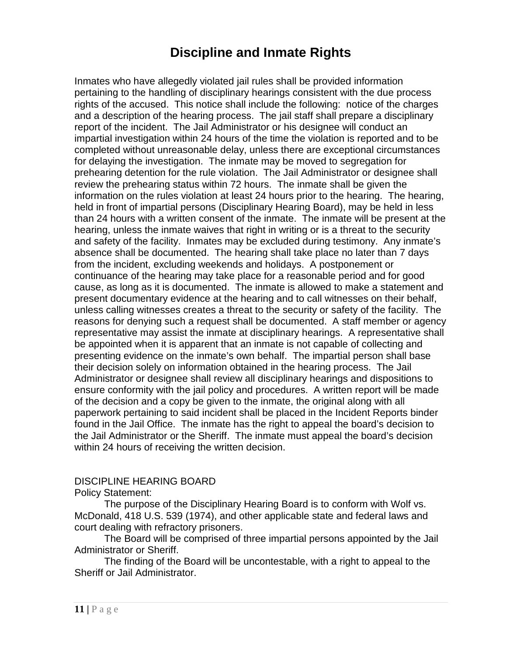# **Discipline and Inmate Rights**

Inmates who have allegedly violated jail rules shall be provided information pertaining to the handling of disciplinary hearings consistent with the due process rights of the accused. This notice shall include the following: notice of the charges and a description of the hearing process. The jail staff shall prepare a disciplinary report of the incident. The Jail Administrator or his designee will conduct an impartial investigation within 24 hours of the time the violation is reported and to be completed without unreasonable delay, unless there are exceptional circumstances for delaying the investigation. The inmate may be moved to segregation for prehearing detention for the rule violation. The Jail Administrator or designee shall review the prehearing status within 72 hours. The inmate shall be given the information on the rules violation at least 24 hours prior to the hearing. The hearing, held in front of impartial persons (Disciplinary Hearing Board), may be held in less than 24 hours with a written consent of the inmate. The inmate will be present at the hearing, unless the inmate waives that right in writing or is a threat to the security and safety of the facility. Inmates may be excluded during testimony. Any inmate's absence shall be documented. The hearing shall take place no later than 7 days from the incident, excluding weekends and holidays. A postponement or continuance of the hearing may take place for a reasonable period and for good cause, as long as it is documented. The inmate is allowed to make a statement and present documentary evidence at the hearing and to call witnesses on their behalf, unless calling witnesses creates a threat to the security or safety of the facility. The reasons for denying such a request shall be documented. A staff member or agency representative may assist the inmate at disciplinary hearings. A representative shall be appointed when it is apparent that an inmate is not capable of collecting and presenting evidence on the inmate's own behalf. The impartial person shall base their decision solely on information obtained in the hearing process. The Jail Administrator or designee shall review all disciplinary hearings and dispositions to ensure conformity with the jail policy and procedures. A written report will be made of the decision and a copy be given to the inmate, the original along with all paperwork pertaining to said incident shall be placed in the Incident Reports binder found in the Jail Office. The inmate has the right to appeal the board's decision to the Jail Administrator or the Sheriff. The inmate must appeal the board's decision within 24 hours of receiving the written decision.

#### DISCIPLINE HEARING BOARD

Policy Statement:

The purpose of the Disciplinary Hearing Board is to conform with Wolf vs. McDonald, 418 U.S. 539 (1974), and other applicable state and federal laws and court dealing with refractory prisoners.

The Board will be comprised of three impartial persons appointed by the Jail Administrator or Sheriff.

The finding of the Board will be uncontestable, with a right to appeal to the Sheriff or Jail Administrator.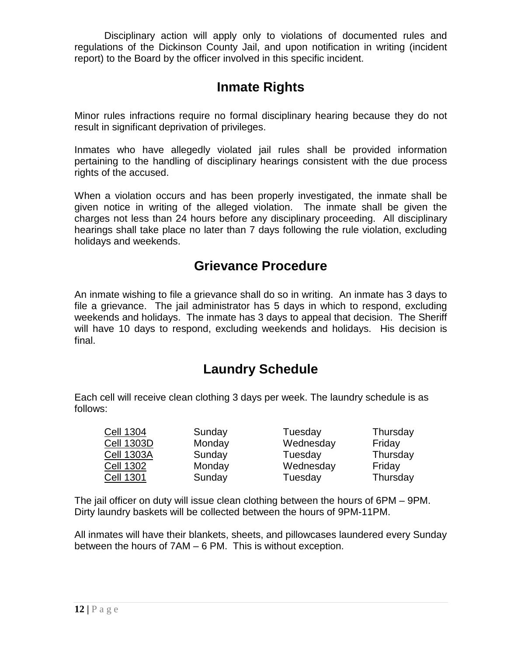Disciplinary action will apply only to violations of documented rules and regulations of the Dickinson County Jail, and upon notification in writing (incident report) to the Board by the officer involved in this specific incident.

# **Inmate Rights**

Minor rules infractions require no formal disciplinary hearing because they do not result in significant deprivation of privileges.

Inmates who have allegedly violated jail rules shall be provided information pertaining to the handling of disciplinary hearings consistent with the due process rights of the accused.

When a violation occurs and has been properly investigated, the inmate shall be given notice in writing of the alleged violation. The inmate shall be given the charges not less than 24 hours before any disciplinary proceeding. All disciplinary hearings shall take place no later than 7 days following the rule violation, excluding holidays and weekends.

#### **Grievance Procedure**

An inmate wishing to file a grievance shall do so in writing. An inmate has 3 days to file a grievance. The jail administrator has 5 days in which to respond, excluding weekends and holidays. The inmate has 3 days to appeal that decision. The Sheriff will have 10 days to respond, excluding weekends and holidays. His decision is final.

#### **Laundry Schedule**

Each cell will receive clean clothing 3 days per week. The laundry schedule is as follows:

| <b>Cell 1304</b>  | Sunday | Tuesday   | Thursday |
|-------------------|--------|-----------|----------|
| <b>Cell 1303D</b> | Monday | Wednesday | Friday   |
| <b>Cell 1303A</b> | Sunday | Tuesday   | Thursday |
| <b>Cell 1302</b>  | Monday | Wednesday | Friday   |
| <b>Cell 1301</b>  | Sunday | Tuesday   | Thursday |

The jail officer on duty will issue clean clothing between the hours of 6PM – 9PM. Dirty laundry baskets will be collected between the hours of 9PM-11PM.

All inmates will have their blankets, sheets, and pillowcases laundered every Sunday between the hours of 7AM – 6 PM. This is without exception.